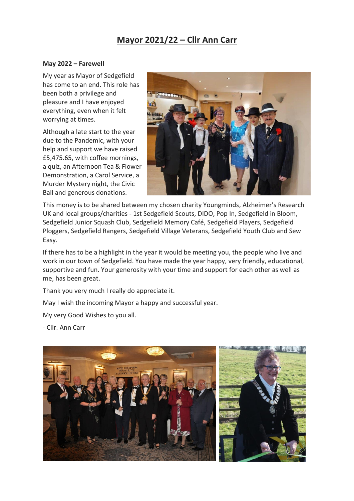## **Mayor 2021/22 – Cllr Ann Carr**

## **May 2022 – Farewell**

My year as Mayor of Sedgefield has come to an end. This role has been both a privilege and pleasure and I have enjoyed everything, even when it felt worrying at times.

Although a late start to the year due to the Pandemic, with your help and support we have raised £5,475.65, with coffee mornings, a quiz, an Afternoon Tea & Flower Demonstration, a Carol Service, a Murder Mystery night, the Civic Ball and generous donations.



This money is to be shared between my chosen charity Youngminds, Alzheimer's Research UK and local groups/charities - 1st Sedgefield Scouts, DIDO, Pop In, Sedgefield in Bloom, Sedgefield Junior Squash Club, Sedgefield Memory Café, Sedgefield Players, Sedgefield Ploggers, Sedgefield Rangers, Sedgefield Village Veterans, Sedgefield Youth Club and Sew Easy.

If there has to be a highlight in the year it would be meeting you, the people who live and work in our town of Sedgefield. You have made the year happy, very friendly, educational, supportive and fun. Your generosity with your time and support for each other as well as me, has been great.

Thank you very much I really do appreciate it.

May I wish the incoming Mayor a happy and successful year.

My very Good Wishes to you all.

- Cllr. Ann Carr

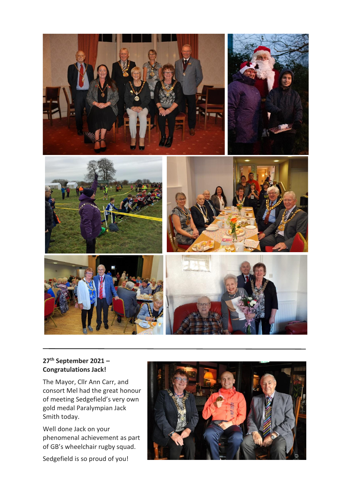

## **27th September 2021 – Congratulations Jack!**

The Mayor, Cllr Ann Carr, and consort Mel had the great honour of meeting Sedgefield's very own gold medal Paralympian Jack Smith today.

Well done Jack on your phenomenal achievement as part of GB's wheelchair rugby squad.

Sedgefield is so proud of you!